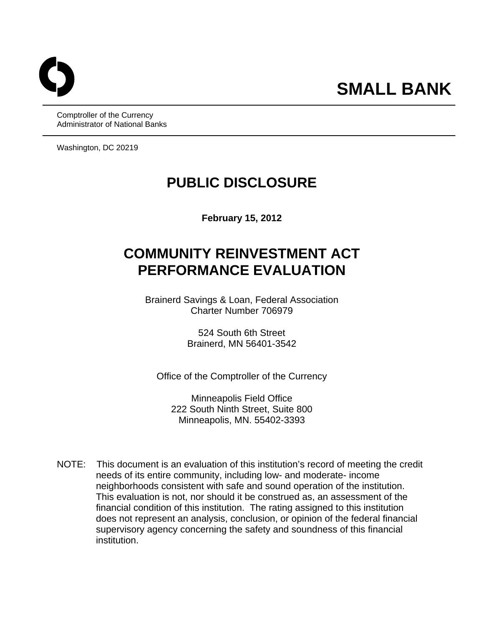Comptroller of the Currency Administrator of National Banks

Washington, DC 20219

## **PUBLIC DISCLOSURE**

**February 15, 2012** 

# **COMMUNITY REINVESTMENT ACT PERFORMANCE EVALUATION**

Brainerd Savings & Loan, Federal Association Charter Number 706979

> 524 South 6th Street Brainerd, MN 56401-3542

Office of the Comptroller of the Currency

Minneapolis Field Office 222 South Ninth Street, Suite 800 Minneapolis, MN. 55402-3393

 $NOTF:$ This document is an evaluation of this institution's record of meeting the credit needs of its entire community, including low- and moderate- income neighborhoods consistent with safe and sound operation of the institution. This evaluation is not, nor should it be construed as, an assessment of the financial condition of this institution. The rating assigned to this institution does not represent an analysis, conclusion, or opinion of the federal financial supervisory agency concerning the safety and soundness of this financial institution.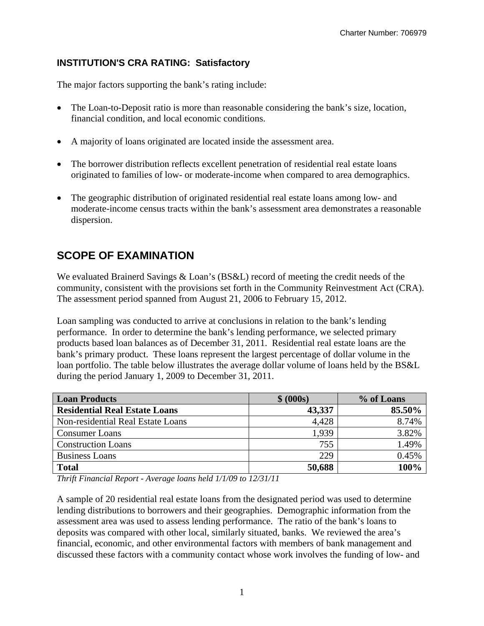#### **INSTITUTION'S CRA RATING: Satisfactory**

The major factors supporting the bank's rating include:

- The Loan-to-Deposit ratio is more than reasonable considering the bank's size, location, financial condition, and local economic conditions.
- A majority of loans originated are located inside the assessment area.
- The borrower distribution reflects excellent penetration of residential real estate loans originated to families of low- or moderate-income when compared to area demographics.
- The geographic distribution of originated residential real estate loans among low- and moderate-income census tracts within the bank's assessment area demonstrates a reasonable dispersion.

## **SCOPE OF EXAMINATION**

We evaluated Brainerd Savings & Loan's (BS&L) record of meeting the credit needs of the community, consistent with the provisions set forth in the Community Reinvestment Act (CRA). The assessment period spanned from August 21, 2006 to February 15, 2012.

Loan sampling was conducted to arrive at conclusions in relation to the bank's lending performance. In order to determine the bank's lending performance, we selected primary products based loan balances as of December 31, 2011. Residential real estate loans are the bank's primary product. These loans represent the largest percentage of dollar volume in the loan portfolio. The table below illustrates the average dollar volume of loans held by the BS&L during the period January 1, 2009 to December 31, 2011.

| <b>Loan Products</b>                 | \$ (000s) | % of Loans |
|--------------------------------------|-----------|------------|
| <b>Residential Real Estate Loans</b> | 43,337    | 85.50%     |
| Non-residential Real Estate Loans    | 4,428     | 8.74%      |
| <b>Consumer Loans</b>                | 1,939     | 3.82%      |
| <b>Construction Loans</b>            | 755       | 1.49%      |
| <b>Business Loans</b>                | 229       | 0.45%      |
| <b>Total</b>                         | 50,688    | 100%       |

*Thrift Financial Report - Average loans held 1/1/09 to 12/31/11* 

A sample of 20 residential real estate loans from the designated period was used to determine lending distributions to borrowers and their geographies. Demographic information from the assessment area was used to assess lending performance. The ratio of the bank's loans to deposits was compared with other local, similarly situated, banks. We reviewed the area's financial, economic, and other environmental factors with members of bank management and discussed these factors with a community contact whose work involves the funding of low- and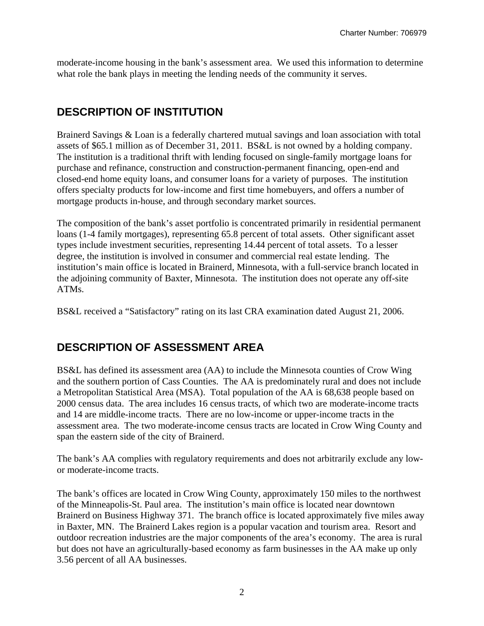moderate-income housing in the bank's assessment area. We used this information to determine what role the bank plays in meeting the lending needs of the community it serves.

## **DESCRIPTION OF INSTITUTION**

Brainerd Savings & Loan is a federally chartered mutual savings and loan association with total assets of \$65.1 million as of December 31, 2011. BS&L is not owned by a holding company. The institution is a traditional thrift with lending focused on single-family mortgage loans for purchase and refinance, construction and construction-permanent financing, open-end and closed-end home equity loans, and consumer loans for a variety of purposes. The institution offers specialty products for low-income and first time homebuyers, and offers a number of mortgage products in-house, and through secondary market sources.

The composition of the bank's asset portfolio is concentrated primarily in residential permanent loans (1-4 family mortgages), representing 65.8 percent of total assets. Other significant asset types include investment securities, representing 14.44 percent of total assets. To a lesser degree, the institution is involved in consumer and commercial real estate lending. The institution's main office is located in Brainerd, Minnesota, with a full-service branch located in the adjoining community of Baxter, Minnesota. The institution does not operate any off-site ATMs.

BS&L received a "Satisfactory" rating on its last CRA examination dated August 21, 2006.

### **DESCRIPTION OF ASSESSMENT AREA**

BS&L has defined its assessment area (AA) to include the Minnesota counties of Crow Wing and the southern portion of Cass Counties. The AA is predominately rural and does not include a Metropolitan Statistical Area (MSA). Total population of the AA is 68,638 people based on 2000 census data. The area includes 16 census tracts, of which two are moderate-income tracts and 14 are middle-income tracts. There are no low-income or upper-income tracts in the assessment area. The two moderate-income census tracts are located in Crow Wing County and span the eastern side of the city of Brainerd.

The bank's AA complies with regulatory requirements and does not arbitrarily exclude any lowor moderate-income tracts.

The bank's offices are located in Crow Wing County, approximately 150 miles to the northwest of the Minneapolis-St. Paul area. The institution's main office is located near downtown Brainerd on Business Highway 371. The branch office is located approximately five miles away in Baxter, MN. The Brainerd Lakes region is a popular vacation and tourism area. Resort and outdoor recreation industries are the major components of the area's economy. The area is rural but does not have an agriculturally-based economy as farm businesses in the AA make up only 3.56 percent of all AA businesses.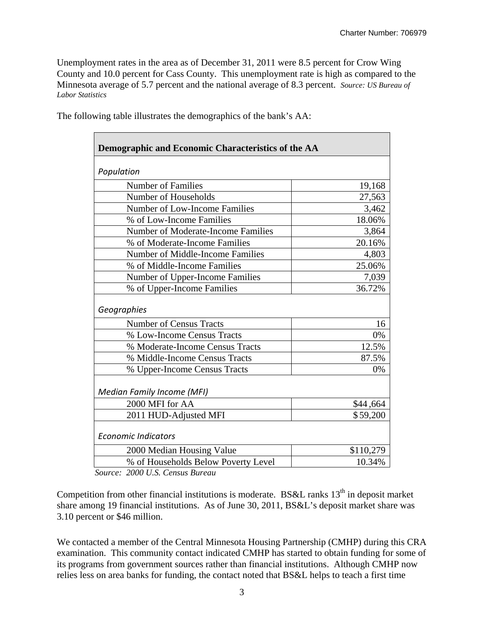Unemployment rates in the area as of December 31, 2011 were 8.5 percent for Crow Wing County and 10.0 percent for Cass County. This unemployment rate is high as compared to the Minnesota average of 5.7 percent and the national average of 8.3 percent. *Source: US Bureau of Labor Statistics* 

| Demographic and Economic Characteristics of the AA |           |  |  |  |  |  |  |
|----------------------------------------------------|-----------|--|--|--|--|--|--|
| Population                                         |           |  |  |  |  |  |  |
| <b>Number of Families</b>                          | 19,168    |  |  |  |  |  |  |
| Number of Households                               | 27,563    |  |  |  |  |  |  |
| <b>Number of Low-Income Families</b>               | 3,462     |  |  |  |  |  |  |
| % of Low-Income Families                           | 18.06%    |  |  |  |  |  |  |
| Number of Moderate-Income Families                 | 3,864     |  |  |  |  |  |  |
| % of Moderate-Income Families                      | 20.16%    |  |  |  |  |  |  |
| <b>Number of Middle-Income Families</b>            | 4,803     |  |  |  |  |  |  |
| % of Middle-Income Families                        | 25.06%    |  |  |  |  |  |  |
| Number of Upper-Income Families                    | 7,039     |  |  |  |  |  |  |
| 36.72%<br>% of Upper-Income Families               |           |  |  |  |  |  |  |
| Geographies                                        |           |  |  |  |  |  |  |
| <b>Number of Census Tracts</b>                     | 16        |  |  |  |  |  |  |
| % Low-Income Census Tracts                         | 0%        |  |  |  |  |  |  |
| % Moderate-Income Census Tracts                    | 12.5%     |  |  |  |  |  |  |
| % Middle-Income Census Tracts                      | 87.5%     |  |  |  |  |  |  |
| % Upper-Income Census Tracts                       | 0%        |  |  |  |  |  |  |
| <b>Median Family Income (MFI)</b>                  |           |  |  |  |  |  |  |
| 2000 MFI for AA                                    | \$44,664  |  |  |  |  |  |  |
| 2011 HUD-Adjusted MFI                              | \$59,200  |  |  |  |  |  |  |
| <b>Economic Indicators</b>                         |           |  |  |  |  |  |  |
| 2000 Median Housing Value                          | \$110,279 |  |  |  |  |  |  |
| % of Households Below Poverty Level                | 10.34%    |  |  |  |  |  |  |

The following table illustrates the demographics of the bank's AA:

*Source: 2000 U.S. Census Bureau* 

Competition from other financial institutions is moderate. BS&L ranks  $13<sup>th</sup>$  in deposit market share among 19 financial institutions. As of June 30, 2011, BS&L's deposit market share was 3.10 percent or \$46 million.

We contacted a member of the Central Minnesota Housing Partnership (CMHP) during this CRA examination. This community contact indicated CMHP has started to obtain funding for some of its programs from government sources rather than financial institutions. Although CMHP now relies less on area banks for funding, the contact noted that BS&L helps to teach a first time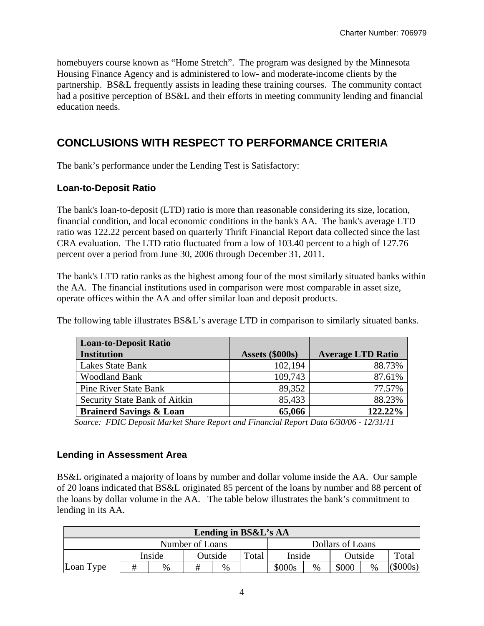homebuyers course known as "Home Stretch". The program was designed by the Minnesota Housing Finance Agency and is administered to low- and moderate-income clients by the partnership. BS&L frequently assists in leading these training courses. The community contact had a positive perception of BS&L and their efforts in meeting community lending and financial education needs.

## **CONCLUSIONS WITH RESPECT TO PERFORMANCE CRITERIA**

The bank's performance under the Lending Test is Satisfactory:

#### **Loan-to-Deposit Ratio**

The bank's loan-to-deposit (LTD) ratio is more than reasonable considering its size, location, financial condition, and local economic conditions in the bank's AA. The bank's average LTD ratio was 122.22 percent based on quarterly Thrift Financial Report data collected since the last CRA evaluation. The LTD ratio fluctuated from a low of 103.40 percent to a high of 127.76 percent over a period from June 30, 2006 through December 31, 2011.

The bank's LTD ratio ranks as the highest among four of the most similarly situated banks within the AA. The financial institutions used in comparison were most comparable in asset size, operate offices within the AA and offer similar loan and deposit products.

The following table illustrates BS&L's average LTD in comparison to similarly situated banks.

| <b>Loan-to-Deposit Ratio</b>       |                 |                          |
|------------------------------------|-----------------|--------------------------|
| <b>Institution</b>                 | Assets (\$000s) | <b>Average LTD Ratio</b> |
| Lakes State Bank                   | 102,194         | 88.73%                   |
| <b>Woodland Bank</b>               | 109,743         | 87.61%                   |
| <b>Pine River State Bank</b>       | 89,352          | 77.57%                   |
| Security State Bank of Aitkin      | 85,433          | 88.23%                   |
| <b>Brainerd Savings &amp; Loan</b> | 65,066          | 122.22%                  |

 *Source: FDIC Deposit Market Share Report and Financial Report Data 6/30/06 - 12/31/11* 

#### **Lending in Assessment Area**

BS&L originated a majority of loans by number and dollar volume inside the AA. Our sample of 20 loans indicated that BS&L originated 85 percent of the loans by number and 88 percent of the loans by dollar volume in the AA. The table below illustrates the bank's commitment to lending in its AA.

| Lending in BS&L's AA |                   |      |                 |      |       |                  |      |         |      |         |  |
|----------------------|-------------------|------|-----------------|------|-------|------------------|------|---------|------|---------|--|
|                      |                   |      | Number of Loans |      |       | Dollars of Loans |      |         |      |         |  |
|                      | Outside<br>Inside |      |                 |      | Total | Inside           |      | Outside |      | Total   |  |
| Loan Type            |                   | $\%$ | #               | $\%$ |       | \$000s           | $\%$ | \$000   | $\%$ | (5000s) |  |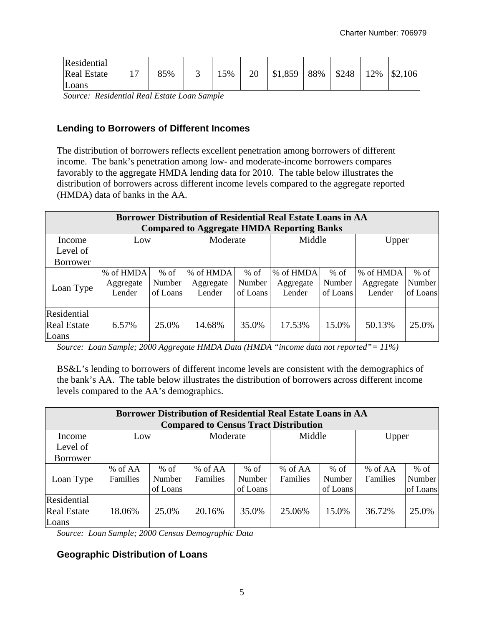| Residential        |     |     |    |         |     |       |     |         |
|--------------------|-----|-----|----|---------|-----|-------|-----|---------|
| <b>Real Estate</b> | 85% | 15% | 20 | \$1,859 | 88% | \$248 | 12% | \$2,106 |
| Loans              |     |     |    |         |     |       |     |         |

 *Source: Residential Real Estate Loan Sample* 

#### **Lending to Borrowers of Different Incomes**

The distribution of borrowers reflects excellent penetration among borrowers of different income. The bank's penetration among low- and moderate-income borrowers compares favorably to the aggregate HMDA lending data for 2010. The table below illustrates the distribution of borrowers across different income levels compared to the aggregate reported (HMDA) data of banks in the AA.

| <b>Borrower Distribution of Residential Real Estate Loans in AA</b><br><b>Compared to Aggregate HMDA Reporting Banks</b> |                                  |                              |                                  |                              |                                  |                              |                                  |                                     |  |  |
|--------------------------------------------------------------------------------------------------------------------------|----------------------------------|------------------------------|----------------------------------|------------------------------|----------------------------------|------------------------------|----------------------------------|-------------------------------------|--|--|
| Income<br>Level of                                                                                                       | Low                              |                              | Moderate                         |                              | Middle                           |                              | Upper                            |                                     |  |  |
| <b>Borrower</b>                                                                                                          |                                  |                              |                                  |                              |                                  |                              |                                  |                                     |  |  |
| Loan Type                                                                                                                | % of HMDA<br>Aggregate<br>Lender | $%$ of<br>Number<br>of Loans | % of HMDA<br>Aggregate<br>Lender | $%$ of<br>Number<br>of Loans | % of HMDA<br>Aggregate<br>Lender | $%$ of<br>Number<br>of Loans | % of HMDA<br>Aggregate<br>Lender | $%$ of<br><b>Number</b><br>of Loans |  |  |
| Residential<br><b>Real Estate</b><br>Loans                                                                               | 6.57%                            | 25.0%                        | 14.68%                           | 35.0%                        | 17.53%                           | 15.0%                        | 50.13%                           | 25.0%                               |  |  |

*Source: Loan Sample; 2000 Aggregate HMDA Data (HMDA "income data not reported"= 11%)* 

BS&L's lending to borrowers of different income levels are consistent with the demographics of the bank's AA. The table below illustrates the distribution of borrowers across different income levels compared to the AA's demographics.

| <b>Borrower Distribution of Residential Real Estate Loans in AA</b><br><b>Compared to Census Tract Distribution</b> |          |          |          |          |           |          |          |               |  |  |
|---------------------------------------------------------------------------------------------------------------------|----------|----------|----------|----------|-----------|----------|----------|---------------|--|--|
| Income                                                                                                              | Low      |          | Moderate |          | Middle    |          | Upper    |               |  |  |
| Level of                                                                                                            |          |          |          |          |           |          |          |               |  |  |
| <b>Borrower</b>                                                                                                     |          |          |          |          |           |          |          |               |  |  |
|                                                                                                                     | % of AA  | $%$ of   | % of AA  | $%$ of   | $%$ of AA | $%$ of   | % of AA  | $%$ of        |  |  |
| Loan Type                                                                                                           | Families | Number   | Families | Number   | Families  | Number   | Families | <b>Number</b> |  |  |
|                                                                                                                     |          | of Loans |          | of Loans |           | of Loans |          | of Loans      |  |  |
| Residential                                                                                                         |          |          |          |          |           |          |          |               |  |  |
| <b>Real Estate</b>                                                                                                  | 18.06%   | 25.0%    | 20.16%   | 35.0%    | 25.06%    | 15.0%    | 36.72%   | 25.0%         |  |  |
| Loans                                                                                                               |          |          |          |          |           |          |          |               |  |  |

*Source: Loan Sample; 2000 Census Demographic Data* 

#### **Geographic Distribution of Loans**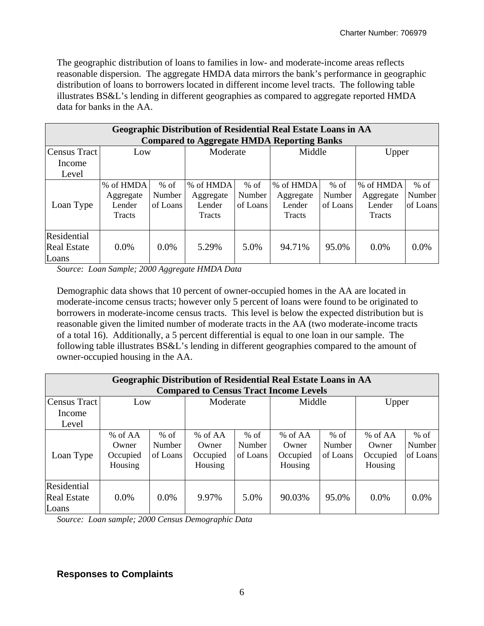The geographic distribution of loans to families in low- and moderate-income areas reflects reasonable dispersion. The aggregate HMDA data mirrors the bank's performance in geographic distribution of loans to borrowers located in different income level tracts. The following table illustrates BS&L's lending in different geographies as compared to aggregate reported HMDA data for banks in the AA.

| <b>Geographic Distribution of Residential Real Estate Loans in AA</b><br><b>Compared to Aggregate HMDA Reporting Banks</b> |                                            |                              |                                            |                              |                                            |                              |                                                   |                              |  |  |
|----------------------------------------------------------------------------------------------------------------------------|--------------------------------------------|------------------------------|--------------------------------------------|------------------------------|--------------------------------------------|------------------------------|---------------------------------------------------|------------------------------|--|--|
| Census Tract<br>Income                                                                                                     | Low                                        |                              | Moderate                                   |                              | Middle                                     |                              | Upper                                             |                              |  |  |
| Level                                                                                                                      |                                            |                              |                                            |                              |                                            |                              |                                                   |                              |  |  |
| Loan Type                                                                                                                  | % of HMDA<br>Aggregate<br>Lender<br>Tracts | $%$ of<br>Number<br>of Loans | % of HMDA<br>Aggregate<br>Lender<br>Tracts | $%$ of<br>Number<br>of Loans | % of HMDA<br>Aggregate<br>Lender<br>Tracts | $%$ of<br>Number<br>of Loans | % of HMDA<br>Aggregate<br>Lender<br><b>Tracts</b> | $%$ of<br>Number<br>of Loans |  |  |
| Residential<br><b>Real Estate</b><br>Loans                                                                                 | $0.0\%$                                    | $0.0\%$                      | 5.29%                                      | 5.0%                         | 94.71%                                     | 95.0%                        | 0.0%                                              | $0.0\%$                      |  |  |

*Source: Loan Sample; 2000 Aggregate HMDA Data* 

Demographic data shows that 10 percent of owner-occupied homes in the AA are located in moderate-income census tracts; however only 5 percent of loans were found to be originated to borrowers in moderate-income census tracts. This level is below the expected distribution but is reasonable given the limited number of moderate tracts in the AA (two moderate-income tracts of a total 16). Additionally, a 5 percent differential is equal to one loan in our sample. The following table illustrates BS&L's lending in different geographies compared to the amount of owner-occupied housing in the AA.

| Geographic Distribution of Residential Real Estate Loans in AA |                                         |                              |                                           |                              |                                           |                              |                                           |                              |  |  |
|----------------------------------------------------------------|-----------------------------------------|------------------------------|-------------------------------------------|------------------------------|-------------------------------------------|------------------------------|-------------------------------------------|------------------------------|--|--|
| <b>Compared to Census Tract Income Levels</b>                  |                                         |                              |                                           |                              |                                           |                              |                                           |                              |  |  |
| Census Tract                                                   | Low                                     |                              | Moderate                                  | Middle                       |                                           |                              | Upper                                     |                              |  |  |
| Income                                                         |                                         |                              |                                           |                              |                                           |                              |                                           |                              |  |  |
| Level                                                          |                                         |                              |                                           |                              |                                           |                              |                                           |                              |  |  |
| Loan Type                                                      | % of AA<br>Owner<br>Occupied<br>Housing | $%$ of<br>Number<br>of Loans | $%$ of AA<br>Owner<br>Occupied<br>Housing | $%$ of<br>Number<br>of Loans | % of $AA$<br>Owner<br>Occupied<br>Housing | $%$ of<br>Number<br>of Loans | % of $AA$<br>Owner<br>Occupied<br>Housing | $%$ of<br>Number<br>of Loans |  |  |
| Residential<br><b>Real Estate</b><br>Loans                     | $0.0\%$                                 | $0.0\%$                      | 9.97%                                     | 5.0%                         | 90.03%                                    | 95.0%                        | $0.0\%$                                   | $0.0\%$                      |  |  |

*Source: Loan sample; 2000 Census Demographic Data* 

#### **Responses to Complaints**